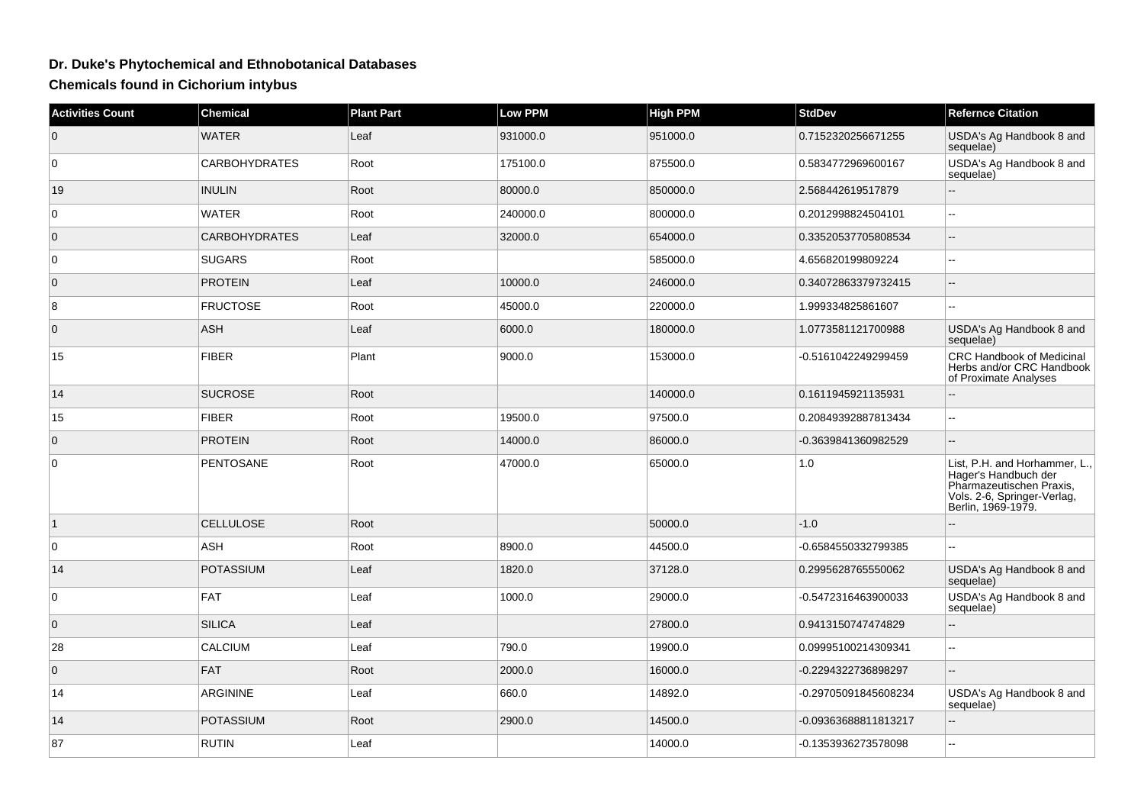## **Dr. Duke's Phytochemical and Ethnobotanical Databases**

**Chemicals found in Cichorium intybus**

| <b>Activities Count</b> | <b>Chemical</b>      | <b>Plant Part</b> | <b>Low PPM</b> | <b>High PPM</b> | <b>StdDev</b>        | <b>Refernce Citation</b>                                                                                                               |
|-------------------------|----------------------|-------------------|----------------|-----------------|----------------------|----------------------------------------------------------------------------------------------------------------------------------------|
| $\overline{0}$          | <b>WATER</b>         | Leaf              | 931000.0       | 951000.0        | 0.7152320256671255   | USDA's Ag Handbook 8 and<br>sequelae)                                                                                                  |
| $\overline{0}$          | <b>CARBOHYDRATES</b> | Root              | 175100.0       | 875500.0        | 0.5834772969600167   | USDA's Ag Handbook 8 and<br>sequelae)                                                                                                  |
| 19                      | <b>INULIN</b>        | Root              | 80000.0        | 850000.0        | 2.568442619517879    |                                                                                                                                        |
| $\overline{0}$          | <b>WATER</b>         | Root              | 240000.0       | 800000.0        | 0.2012998824504101   | $\overline{\phantom{a}}$                                                                                                               |
| $\overline{0}$          | <b>CARBOHYDRATES</b> | Leaf              | 32000.0        | 654000.0        | 0.33520537705808534  | $-$                                                                                                                                    |
| $\overline{0}$          | <b>SUGARS</b>        | Root              |                | 585000.0        | 4.656820199809224    | ۵.                                                                                                                                     |
| $\overline{0}$          | <b>PROTEIN</b>       | Leaf              | 10000.0        | 246000.0        | 0.34072863379732415  | $-$                                                                                                                                    |
| 8                       | <b>FRUCTOSE</b>      | Root              | 45000.0        | 220000.0        | 1.999334825861607    | шш.                                                                                                                                    |
| $\overline{0}$          | <b>ASH</b>           | Leaf              | 6000.0         | 180000.0        | 1.0773581121700988   | USDA's Ag Handbook 8 and<br>sequelae)                                                                                                  |
| 15                      | <b>FIBER</b>         | Plant             | 9000.0         | 153000.0        | -0.5161042249299459  | CRC Handbook of Medicinal<br>Herbs and/or CRC Handbook<br>of Proximate Analyses                                                        |
| 14                      | <b>SUCROSE</b>       | Root              |                | 140000.0        | 0.1611945921135931   | L.                                                                                                                                     |
| 15                      | <b>FIBER</b>         | Root              | 19500.0        | 97500.0         | 0.20849392887813434  | Щ,                                                                                                                                     |
| $\overline{0}$          | <b>PROTEIN</b>       | Root              | 14000.0        | 86000.0         | -0.3639841360982529  | uu.                                                                                                                                    |
| $\overline{0}$          | PENTOSANE            | Root              | 47000.0        | 65000.0         | 1.0                  | List, P.H. and Horhammer, L.,<br>Hager's Handbuch der<br>Pharmazeutischen Praxis,<br>Vols. 2-6, Springer-Verlag,<br>Berlin, 1969-1979. |
| $\overline{1}$          | <b>CELLULOSE</b>     | Root              |                | 50000.0         | $-1.0$               |                                                                                                                                        |
| $\overline{0}$          | ASH                  | Root              | 8900.0         | 44500.0         | -0.6584550332799385  | ۵.                                                                                                                                     |
| 14                      | <b>POTASSIUM</b>     | Leaf              | 1820.0         | 37128.0         | 0.2995628765550062   | USDA's Ag Handbook 8 and<br>sequelae)                                                                                                  |
| $\overline{0}$          | <b>FAT</b>           | Leaf              | 1000.0         | 29000.0         | -0.5472316463900033  | USDA's Ag Handbook 8 and<br>sequelae)                                                                                                  |
| $\overline{0}$          | SILICA               | Leaf              |                | 27800.0         | 0.9413150747474829   | Ξ.                                                                                                                                     |
| 28                      | CALCIUM              | Leaf              | 790.0          | 19900.0         | 0.09995100214309341  | шш.                                                                                                                                    |
| $\overline{0}$          | <b>FAT</b>           | Root              | 2000.0         | 16000.0         | -0.2294322736898297  |                                                                                                                                        |
| 14                      | ARGININE             | Leaf              | 660.0          | 14892.0         | -0.29705091845608234 | USDA's Ag Handbook 8 and<br>sequelae)                                                                                                  |
| 14                      | <b>POTASSIUM</b>     | Root              | 2900.0         | 14500.0         | -0.09363688811813217 | ш,                                                                                                                                     |
| 87                      | <b>RUTIN</b>         | Leaf              |                | 14000.0         | -0.1353936273578098  | L.                                                                                                                                     |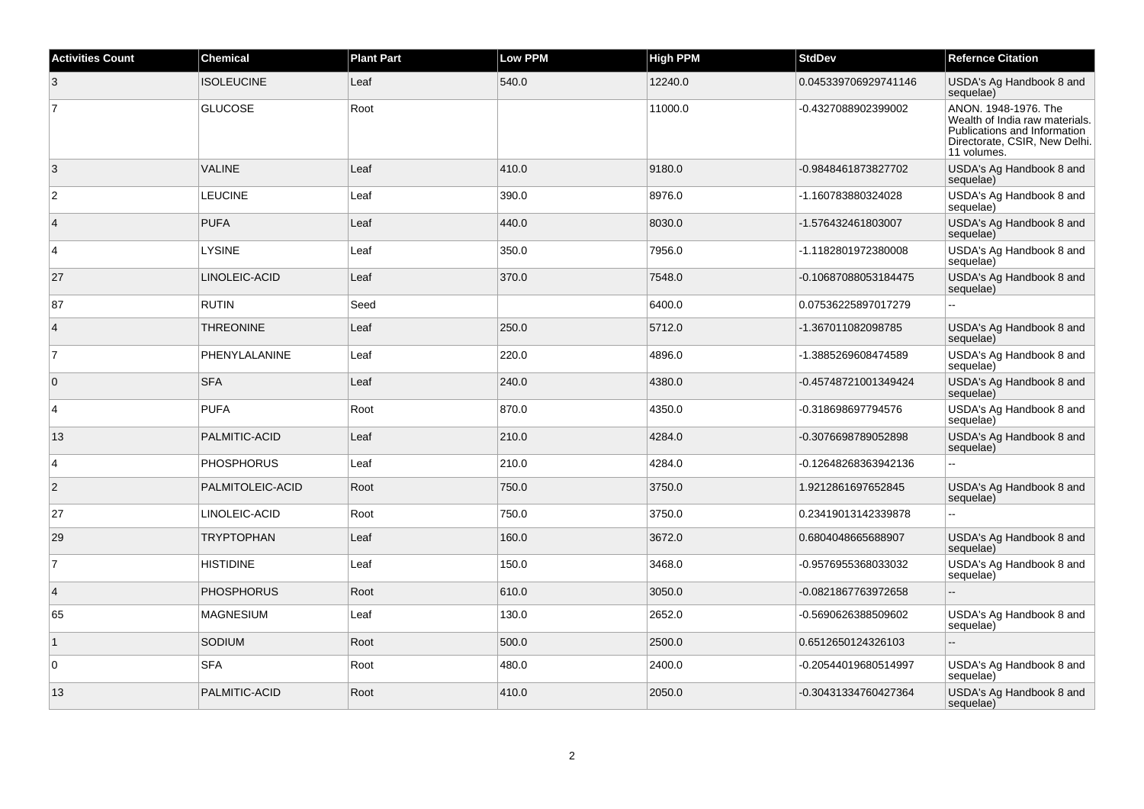| <b>Activities Count</b> | <b>Chemical</b>   | <b>Plant Part</b> | <b>Low PPM</b> | <b>High PPM</b> | <b>StdDev</b>        | <b>Refernce Citation</b>                                                                                                               |
|-------------------------|-------------------|-------------------|----------------|-----------------|----------------------|----------------------------------------------------------------------------------------------------------------------------------------|
| 3                       | <b>ISOLEUCINE</b> | Leaf              | 540.0          | 12240.0         | 0.045339706929741146 | USDA's Ag Handbook 8 and<br>sequelae)                                                                                                  |
| 7                       | <b>GLUCOSE</b>    | Root              |                | 11000.0         | -0.4327088902399002  | ANON. 1948-1976. The<br>Wealth of India raw materials.<br>Publications and Information<br>Directorate, CSIR, New Delhi.<br>11 volumes. |
| 3                       | <b>VALINE</b>     | Leaf              | 410.0          | 9180.0          | -0.9848461873827702  | USDA's Ag Handbook 8 and<br>sequelae)                                                                                                  |
| $\overline{2}$          | <b>LEUCINE</b>    | Leaf              | 390.0          | 8976.0          | -1.160783880324028   | USDA's Ag Handbook 8 and<br>sequelae)                                                                                                  |
| $\overline{4}$          | <b>PUFA</b>       | Leaf              | 440.0          | 8030.0          | -1.576432461803007   | USDA's Ag Handbook 8 and<br>sequelae)                                                                                                  |
| $\overline{4}$          | <b>LYSINE</b>     | Leaf              | 350.0          | 7956.0          | -1.1182801972380008  | USDA's Ag Handbook 8 and<br>sequelae)                                                                                                  |
| 27                      | LINOLEIC-ACID     | Leaf              | 370.0          | 7548.0          | -0.10687088053184475 | USDA's Ag Handbook 8 and<br>sequelae)                                                                                                  |
| 87                      | <b>RUTIN</b>      | Seed              |                | 6400.0          | 0.07536225897017279  | u.                                                                                                                                     |
| $\overline{4}$          | <b>THREONINE</b>  | Leaf              | 250.0          | 5712.0          | -1.367011082098785   | USDA's Ag Handbook 8 and<br>sequelae)                                                                                                  |
| 7                       | PHENYLALANINE     | Leaf              | 220.0          | 4896.0          | -1.3885269608474589  | USDA's Ag Handbook 8 and<br>sequelae)                                                                                                  |
| $\overline{0}$          | <b>SFA</b>        | Leaf              | 240.0          | 4380.0          | -0.45748721001349424 | USDA's Ag Handbook 8 and<br>sequelae)                                                                                                  |
| $\overline{4}$          | <b>PUFA</b>       | Root              | 870.0          | 4350.0          | -0.318698697794576   | USDA's Ag Handbook 8 and<br>sequelae)                                                                                                  |
| 13                      | PALMITIC-ACID     | Leaf              | 210.0          | 4284.0          | -0.3076698789052898  | USDA's Ag Handbook 8 and<br>sequelae)                                                                                                  |
| $\overline{4}$          | <b>PHOSPHORUS</b> | Leaf              | 210.0          | 4284.0          | -0.12648268363942136 | u.                                                                                                                                     |
| $ 2\rangle$             | PALMITOLEIC-ACID  | Root              | 750.0          | 3750.0          | 1.9212861697652845   | USDA's Ag Handbook 8 and<br>sequelae)                                                                                                  |
| 27                      | LINOLEIC-ACID     | Root              | 750.0          | 3750.0          | 0.23419013142339878  | $\overline{a}$                                                                                                                         |
| 29                      | <b>TRYPTOPHAN</b> | Leaf              | 160.0          | 3672.0          | 0.6804048665688907   | USDA's Ag Handbook 8 and<br>sequelae)                                                                                                  |
| $\overline{7}$          | <b>HISTIDINE</b>  | Leaf              | 150.0          | 3468.0          | -0.9576955368033032  | USDA's Ag Handbook 8 and<br>sequelae)                                                                                                  |
| $\vert$ 4               | <b>PHOSPHORUS</b> | Root              | 610.0          | 3050.0          | -0.0821867763972658  | $\mathbb{Z}^2$                                                                                                                         |
| 65                      | <b>MAGNESIUM</b>  | Leaf              | 130.0          | 2652.0          | -0.5690626388509602  | USDA's Ag Handbook 8 and<br>sequelae)                                                                                                  |
| $\overline{1}$          | SODIUM            | Root              | 500.0          | 2500.0          | 0.6512650124326103   |                                                                                                                                        |
| $\overline{0}$          | <b>SFA</b>        | Root              | 480.0          | 2400.0          | -0.20544019680514997 | USDA's Ag Handbook 8 and<br>sequelae)                                                                                                  |
| 13                      | PALMITIC-ACID     | Root              | 410.0          | 2050.0          | -0.30431334760427364 | USDA's Ag Handbook 8 and<br>sequelae)                                                                                                  |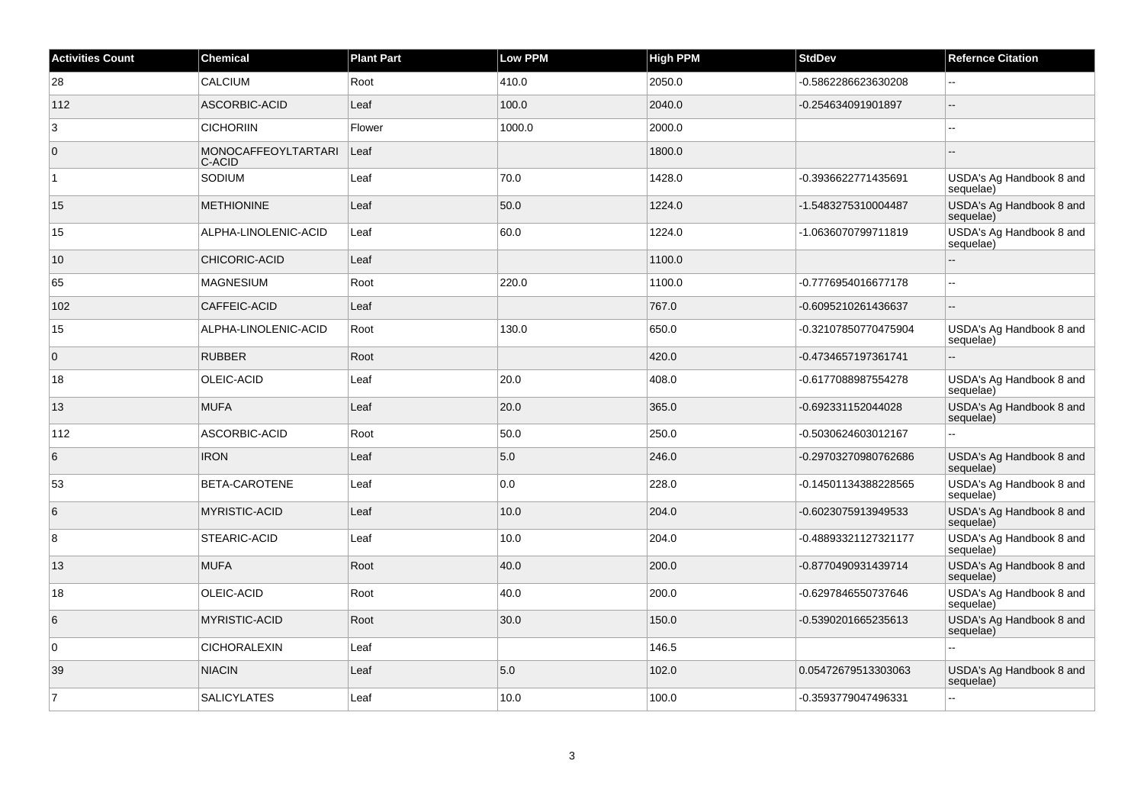| <b>Activities Count</b> | <b>Chemical</b>                      | <b>Plant Part</b> | <b>Low PPM</b> | <b>High PPM</b> | <b>StdDev</b>        | <b>Refernce Citation</b>              |
|-------------------------|--------------------------------------|-------------------|----------------|-----------------|----------------------|---------------------------------------|
| 28                      | <b>CALCIUM</b>                       | Root              | 410.0          | 2050.0          | -0.5862286623630208  | $-$                                   |
| 112                     | ASCORBIC-ACID                        | Leaf              | 100.0          | 2040.0          | -0.254634091901897   | Ξ.                                    |
| 3                       | <b>CICHORIIN</b>                     | Flower            | 1000.0         | 2000.0          |                      |                                       |
| $\overline{0}$          | <b>MONOCAFFEOYLTARTARI</b><br>C-ACID | Leaf              |                | 1800.0          |                      |                                       |
| $\vert$ 1               | SODIUM                               | Leaf              | 70.0           | 1428.0          | -0.3936622771435691  | USDA's Ag Handbook 8 and<br>sequelae) |
| 15                      | <b>METHIONINE</b>                    | Leaf              | 50.0           | 1224.0          | -1.5483275310004487  | USDA's Ag Handbook 8 and<br>sequelae) |
| 15                      | ALPHA-LINOLENIC-ACID                 | Leaf              | 60.0           | 1224.0          | -1.0636070799711819  | USDA's Ag Handbook 8 and<br>sequelae) |
| 10                      | CHICORIC-ACID                        | Leaf              |                | 1100.0          |                      | $-$                                   |
| 65                      | <b>MAGNESIUM</b>                     | Root              | 220.0          | 1100.0          | -0.7776954016677178  | ä.                                    |
| 102                     | CAFFEIC-ACID                         | Leaf              |                | 767.0           | -0.6095210261436637  | ٠.                                    |
| 15                      | ALPHA-LINOLENIC-ACID                 | Root              | 130.0          | 650.0           | -0.32107850770475904 | USDA's Ag Handbook 8 and<br>sequelae) |
| $\overline{0}$          | <b>RUBBER</b>                        | Root              |                | 420.0           | -0.4734657197361741  |                                       |
| 18                      | OLEIC-ACID                           | Leaf              | 20.0           | 408.0           | -0.6177088987554278  | USDA's Ag Handbook 8 and<br>sequelae) |
| 13                      | <b>MUFA</b>                          | Leaf              | 20.0           | 365.0           | -0.692331152044028   | USDA's Ag Handbook 8 and<br>sequelae) |
| 112                     | ASCORBIC-ACID                        | Root              | 50.0           | 250.0           | -0.5030624603012167  | $\overline{a}$                        |
| 6                       | <b>IRON</b>                          | Leaf              | 5.0            | 246.0           | -0.29703270980762686 | USDA's Ag Handbook 8 and<br>sequelae) |
| 53                      | BETA-CAROTENE                        | Leaf              | 0.0            | 228.0           | -0.14501134388228565 | USDA's Ag Handbook 8 and<br>sequelae) |
| 6                       | <b>MYRISTIC-ACID</b>                 | Leaf              | 10.0           | 204.0           | -0.6023075913949533  | USDA's Ag Handbook 8 and<br>sequelae) |
| 8                       | STEARIC-ACID                         | Leaf              | 10.0           | 204.0           | -0.48893321127321177 | USDA's Ag Handbook 8 and<br>sequelae) |
| 13                      | <b>MUFA</b>                          | Root              | 40.0           | 200.0           | -0.8770490931439714  | USDA's Ag Handbook 8 and<br>sequelae) |
| 18                      | OLEIC-ACID                           | Root              | 40.0           | 200.0           | -0.6297846550737646  | USDA's Ag Handbook 8 and<br>sequelae) |
| 6                       | <b>MYRISTIC-ACID</b>                 | Root              | 30.0           | 150.0           | -0.5390201665235613  | USDA's Ag Handbook 8 and<br>sequelae) |
| $\overline{0}$          | <b>CICHORALEXIN</b>                  | Leaf              |                | 146.5           |                      | $\overline{a}$                        |
| 39                      | <b>NIACIN</b>                        | Leaf              | 5.0            | 102.0           | 0.05472679513303063  | USDA's Ag Handbook 8 and<br>sequelae) |
| $\overline{7}$          | <b>SALICYLATES</b>                   | Leaf              | 10.0           | 100.0           | -0.3593779047496331  | $\sim$                                |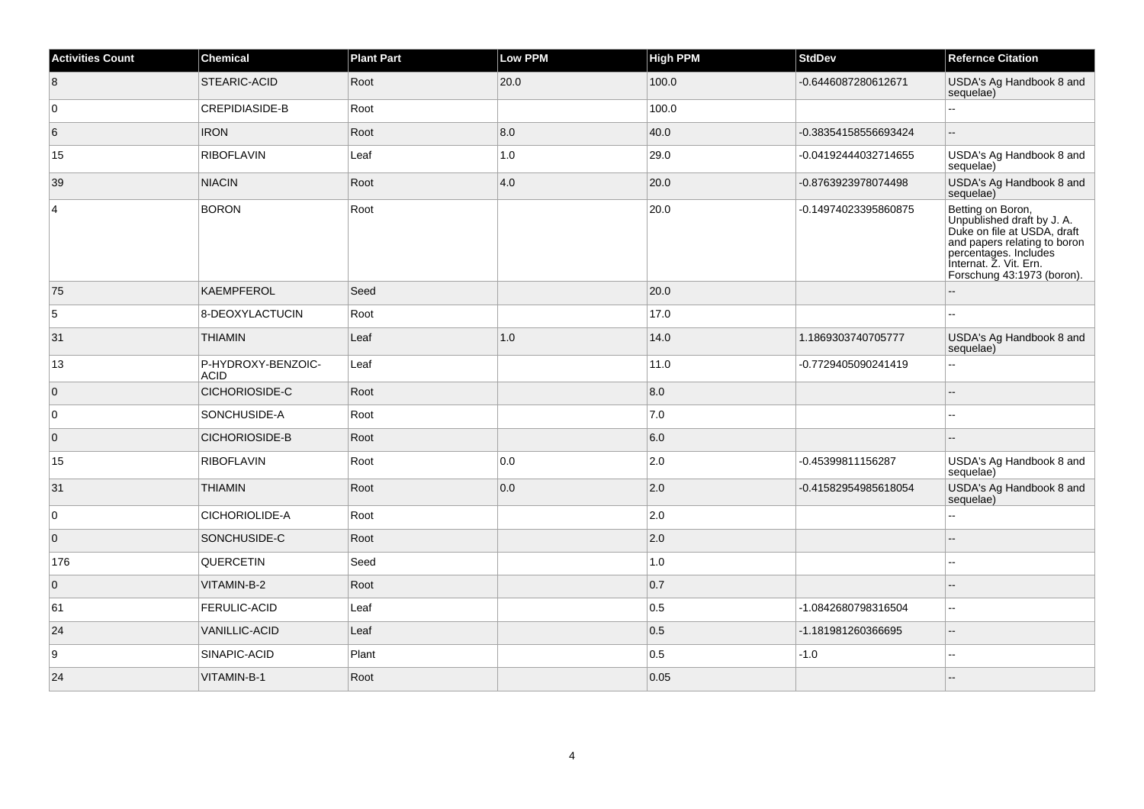| <b>Activities Count</b> | Chemical                          | <b>Plant Part</b> | <b>Low PPM</b> | <b>High PPM</b> | <b>StdDev</b>        | <b>Refernce Citation</b>                                                                                                                                                                        |
|-------------------------|-----------------------------------|-------------------|----------------|-----------------|----------------------|-------------------------------------------------------------------------------------------------------------------------------------------------------------------------------------------------|
| 8                       | <b>STEARIC-ACID</b>               | Root              | 20.0           | 100.0           | -0.6446087280612671  | USDA's Ag Handbook 8 and<br>sequelae)                                                                                                                                                           |
| 0                       | <b>CREPIDIASIDE-B</b>             | Root              |                | 100.0           |                      |                                                                                                                                                                                                 |
| 6                       | <b>IRON</b>                       | Root              | 8.0            | 40.0            | -0.38354158556693424 | Ξ.                                                                                                                                                                                              |
| 15                      | <b>RIBOFLAVIN</b>                 | Leaf              | 1.0            | 29.0            | -0.04192444032714655 | USDA's Ag Handbook 8 and<br>sequelae)                                                                                                                                                           |
| 39                      | <b>NIACIN</b>                     | Root              | 4.0            | 20.0            | -0.8763923978074498  | USDA's Ag Handbook 8 and<br>sequelae)                                                                                                                                                           |
| 4                       | <b>BORON</b>                      | Root              |                | 20.0            | -0.14974023395860875 | Betting on Boron,<br>Unpublished draft by J. A.<br>Duke on file at USDA, draft<br>and papers relating to boron<br>percentages. Includes<br>Internat. Z. Vit. Ern.<br>Forschung 43:1973 (boron). |
| 75                      | <b>KAEMPFEROL</b>                 | Seed              |                | 20.0            |                      |                                                                                                                                                                                                 |
| 5                       | 8-DEOXYLACTUCIN                   | Root              |                | 17.0            |                      |                                                                                                                                                                                                 |
| 31                      | <b>THIAMIN</b>                    | Leaf              | 1.0            | 14.0            | 1.1869303740705777   | USDA's Ag Handbook 8 and<br>sequelae)                                                                                                                                                           |
| 13                      | P-HYDROXY-BENZOIC-<br><b>ACID</b> | Leaf              |                | 11.0            | -0.7729405090241419  | ۵۵                                                                                                                                                                                              |
| $\overline{0}$          | <b>CICHORIOSIDE-C</b>             | Root              |                | 8.0             |                      | $\overline{a}$                                                                                                                                                                                  |
| 0                       | SONCHUSIDE-A                      | Root              |                | 7.0             |                      |                                                                                                                                                                                                 |
| $\mathbf{0}$            | <b>CICHORIOSIDE-B</b>             | Root              |                | 6.0             |                      |                                                                                                                                                                                                 |
| 15                      | <b>RIBOFLAVIN</b>                 | Root              | 0.0            | 2.0             | -0.45399811156287    | USDA's Ag Handbook 8 and<br>sequelae)                                                                                                                                                           |
| 31                      | <b>THIAMIN</b>                    | Root              | 0.0            | 2.0             | -0.41582954985618054 | USDA's Ag Handbook 8 and<br>sequelae)                                                                                                                                                           |
| $\mathbf 0$             | <b>CICHORIOLIDE-A</b>             | Root              |                | 2.0             |                      | ۵.                                                                                                                                                                                              |
| $\overline{0}$          | SONCHUSIDE-C                      | Root              |                | 2.0             |                      |                                                                                                                                                                                                 |
| 176                     | QUERCETIN                         | Seed              |                | 1.0             |                      |                                                                                                                                                                                                 |
| $\overline{0}$          | VITAMIN-B-2                       | Root              |                | 0.7             |                      |                                                                                                                                                                                                 |
| 61                      | <b>FERULIC-ACID</b>               | Leaf              |                | 0.5             | -1.0842680798316504  | ۵۵                                                                                                                                                                                              |
| 24                      | <b>VANILLIC-ACID</b>              | Leaf              |                | 0.5             | -1.181981260366695   |                                                                                                                                                                                                 |
| 9                       | SINAPIC-ACID                      | Plant             |                | 0.5             | $-1.0$               | Ξ.                                                                                                                                                                                              |
| 24                      | VITAMIN-B-1                       | Root              |                | 0.05            |                      |                                                                                                                                                                                                 |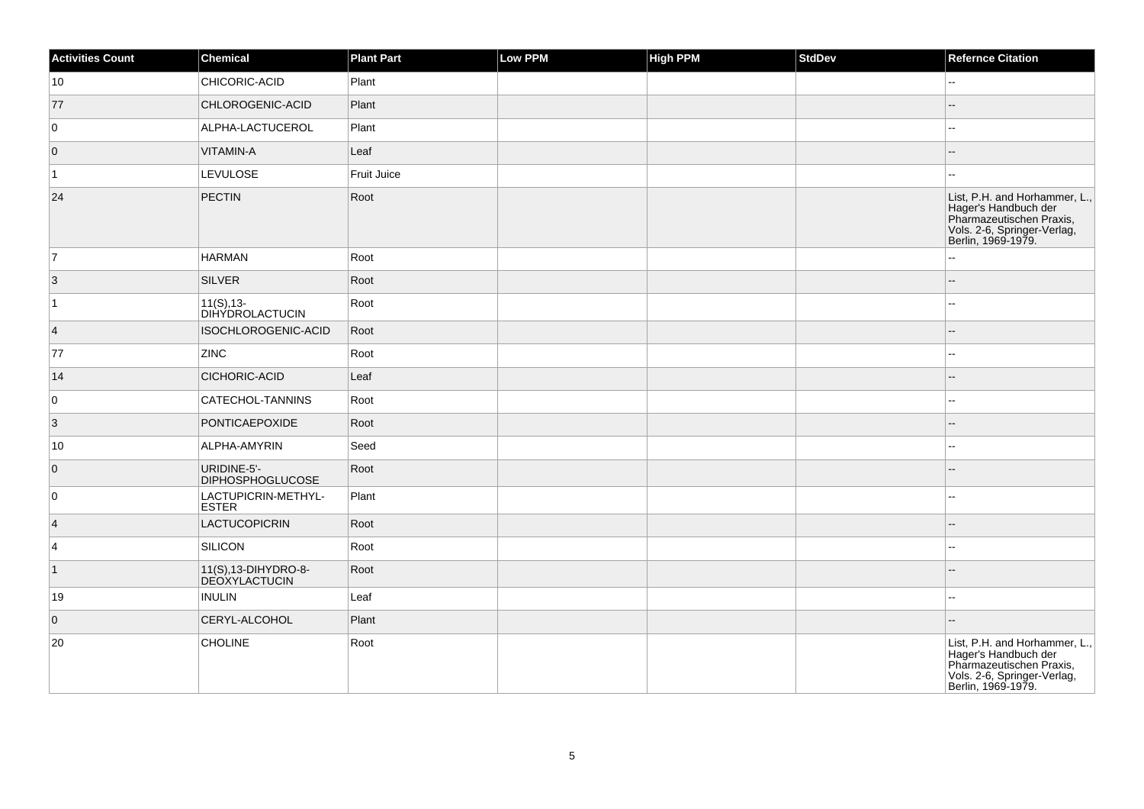| <b>Activities Count</b> | <b>Chemical</b>                              | <b>Plant Part</b> | Low PPM | <b>High PPM</b> | StdDev | <b>Refernce Citation</b>                                                                                                               |
|-------------------------|----------------------------------------------|-------------------|---------|-----------------|--------|----------------------------------------------------------------------------------------------------------------------------------------|
| 10                      | CHICORIC-ACID                                | Plant             |         |                 |        | н.                                                                                                                                     |
| 77                      | CHLOROGENIC-ACID                             | Plant             |         |                 |        | $\overline{a}$                                                                                                                         |
| 0                       | ALPHA-LACTUCEROL                             | Plant             |         |                 |        | $-1$                                                                                                                                   |
| $\overline{0}$          | VITAMIN-A                                    | Leaf              |         |                 |        | --                                                                                                                                     |
| $\vert$ 1               | <b>LEVULOSE</b>                              | Fruit Juice       |         |                 |        | 44                                                                                                                                     |
| 24                      | PECTIN                                       | Root              |         |                 |        | List, P.H. and Horhammer, L.,<br>Hager's Handbuch der<br>Pharmazeutischen Praxis,<br>Vols. 2-6, Springer-Verlag,<br>Berlin, 1969-1979. |
| 7                       | <b>HARMAN</b>                                | Root              |         |                 |        | ۵.                                                                                                                                     |
| $ 3\rangle$             | <b>SILVER</b>                                | Root              |         |                 |        | --                                                                                                                                     |
| $\overline{1}$          | $11(S), 13-$<br><b>DIHYDROLACTUCIN</b>       | Root              |         |                 |        | --                                                                                                                                     |
| $\vert 4 \vert$         | ISOCHLOROGENIC-ACID                          | Root              |         |                 |        |                                                                                                                                        |
| 77                      | <b>ZINC</b>                                  | Root              |         |                 |        | --                                                                                                                                     |
| 14                      | CICHORIC-ACID                                | Leaf              |         |                 |        | $\overline{a}$                                                                                                                         |
| 0                       | CATECHOL-TANNINS                             | Root              |         |                 |        | --                                                                                                                                     |
| 3                       | PONTICAEPOXIDE                               | Root              |         |                 |        | ц,                                                                                                                                     |
| 10                      | ALPHA-AMYRIN                                 | Seed              |         |                 |        | --                                                                                                                                     |
| $\overline{0}$          | URIDINE-5'-<br><b>DIPHOSPHOGLUCOSE</b>       | Root              |         |                 |        |                                                                                                                                        |
| 0                       | LACTUPICRIN-METHYL-<br><b>ESTER</b>          | Plant             |         |                 |        | 44                                                                                                                                     |
| $\vert$ 4               | <b>LACTUCOPICRIN</b>                         | Root              |         |                 |        |                                                                                                                                        |
| $\overline{4}$          | SILICON                                      | Root              |         |                 |        | $\sim$                                                                                                                                 |
| $\vert$ 1               | 11(S), 13-DIHYDRO-8-<br><b>DEOXYLACTUCIN</b> | Root              |         |                 |        |                                                                                                                                        |
| 19                      | <b>INULIN</b>                                | Leaf              |         |                 |        | ш,                                                                                                                                     |
| $\overline{0}$          | CERYL-ALCOHOL                                | Plant             |         |                 |        | $\overline{a}$                                                                                                                         |
| 20                      | <b>CHOLINE</b>                               | Root              |         |                 |        | List, P.H. and Horhammer, L.,<br>Hager's Handbuch der<br>Pharmazeutischen Praxis,<br>Vols. 2-6, Springer-Verlag,<br>Berlin, 1969-1979. |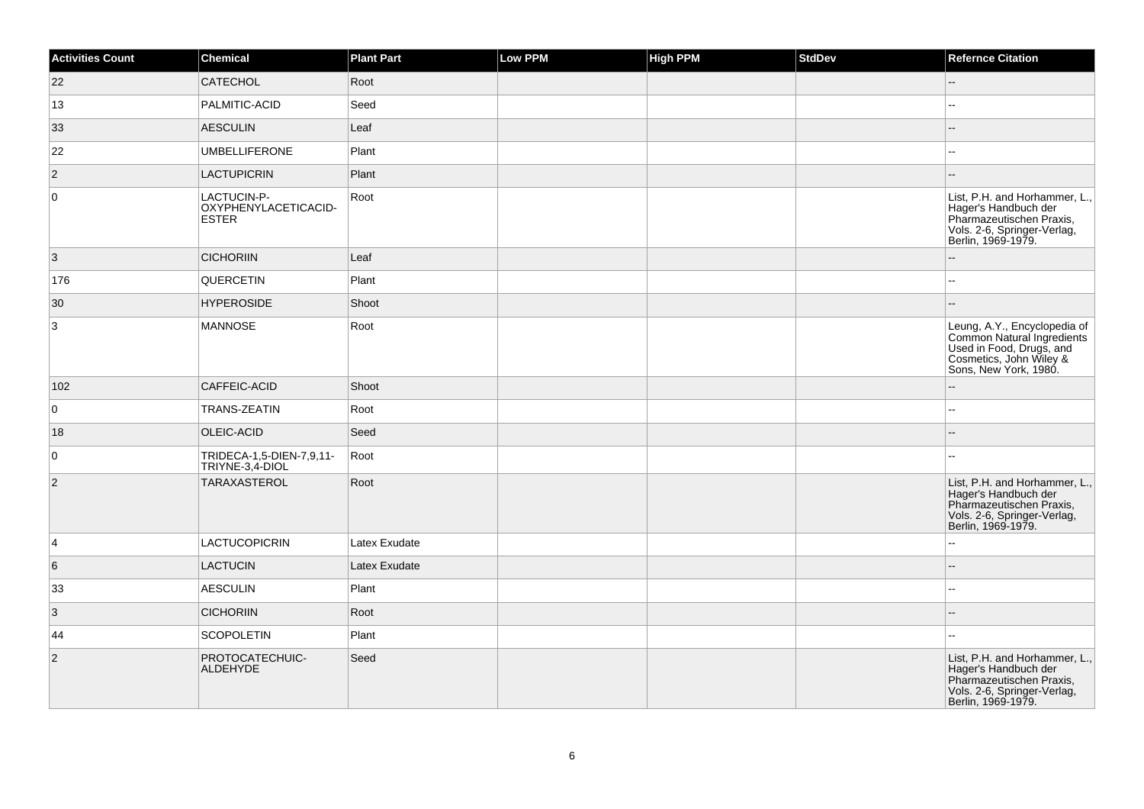| <b>Activities Count</b> | <b>Chemical</b>                                     | <b>Plant Part</b> | <b>Low PPM</b> | <b>High PPM</b> | StdDev | <b>Refernce Citation</b>                                                                                                                   |
|-------------------------|-----------------------------------------------------|-------------------|----------------|-----------------|--------|--------------------------------------------------------------------------------------------------------------------------------------------|
| 22                      | <b>CATECHOL</b>                                     | Root              |                |                 |        | $\overline{\phantom{a}}$                                                                                                                   |
| 13                      | PALMITIC-ACID                                       | Seed              |                |                 |        | L.                                                                                                                                         |
| 33                      | <b>AESCULIN</b>                                     | Leaf              |                |                 |        | --                                                                                                                                         |
| 22                      | <b>UMBELLIFERONE</b>                                | Plant             |                |                 |        |                                                                                                                                            |
| $\overline{2}$          | <b>LACTUPICRIN</b>                                  | Plant             |                |                 |        | н.                                                                                                                                         |
| $\overline{0}$          | LACTUCIN-P-<br>OXYPHENYLACETICACID-<br><b>ESTER</b> | Root              |                |                 |        | List, P.H. and Horhammer, L.,<br>Hager's Handbuch der<br>Pharmazeutischen Praxis,<br>Vols. 2-6, Springer-Verlag,<br>Berlin, 1969-1979.     |
| 3                       | <b>CICHORIIN</b>                                    | Leaf              |                |                 |        |                                                                                                                                            |
| 176                     | QUERCETIN                                           | Plant             |                |                 |        | ц,                                                                                                                                         |
| 30                      | <b>HYPEROSIDE</b>                                   | Shoot             |                |                 |        | $\overline{a}$                                                                                                                             |
| 3                       | <b>MANNOSE</b>                                      | Root              |                |                 |        | Leung, A.Y., Encyclopedia of<br>Common Natural Ingredients<br>Used in Food, Drugs, and<br>Cosmetics, John Wiley &<br>Sons, New York, 1980. |
| 102                     | CAFFEIC-ACID                                        | Shoot             |                |                 |        |                                                                                                                                            |
| $\overline{0}$          | TRANS-ZEATIN                                        | Root              |                |                 |        | 44                                                                                                                                         |
| 18                      | OLEIC-ACID                                          | Seed              |                |                 |        |                                                                                                                                            |
| 0                       | TRIDECA-1,5-DIEN-7,9,11-<br>TRIYNE-3,4-DIOL         | Root              |                |                 |        | $\sim$                                                                                                                                     |
| $\vert$ 2               | TARAXASTEROL                                        | Root              |                |                 |        | List, P.H. and Horhammer, L.,<br>Hager's Handbuch der<br>Pharmazeutischen Praxis,<br>Vols. 2-6, Springer-Verlag,<br>Berlin, 1969-1979.     |
| $\overline{4}$          | <b>LACTUCOPICRIN</b>                                | Latex Exudate     |                |                 |        | $\overline{a}$                                                                                                                             |
| $6\phantom{.}6$         | <b>LACTUCIN</b>                                     | Latex Exudate     |                |                 |        | $-$                                                                                                                                        |
| 33                      | <b>AESCULIN</b>                                     | Plant             |                |                 |        | ÷÷.                                                                                                                                        |
| $\overline{3}$          | <b>CICHORIIN</b>                                    | Root              |                |                 |        |                                                                                                                                            |
| 44                      | <b>SCOPOLETIN</b>                                   | Plant             |                |                 |        | ÷÷.                                                                                                                                        |
| $\vert$ 2               | PROTOCATECHUIC-<br>ALDEHYDE                         | Seed              |                |                 |        | List, P.H. and Horhammer, L.,<br>Hager's Handbuch der<br>Pharmazeutischen Praxis,<br>Vols. 2-6, Springer-Verlag,<br>Berlin, 1969-1979.     |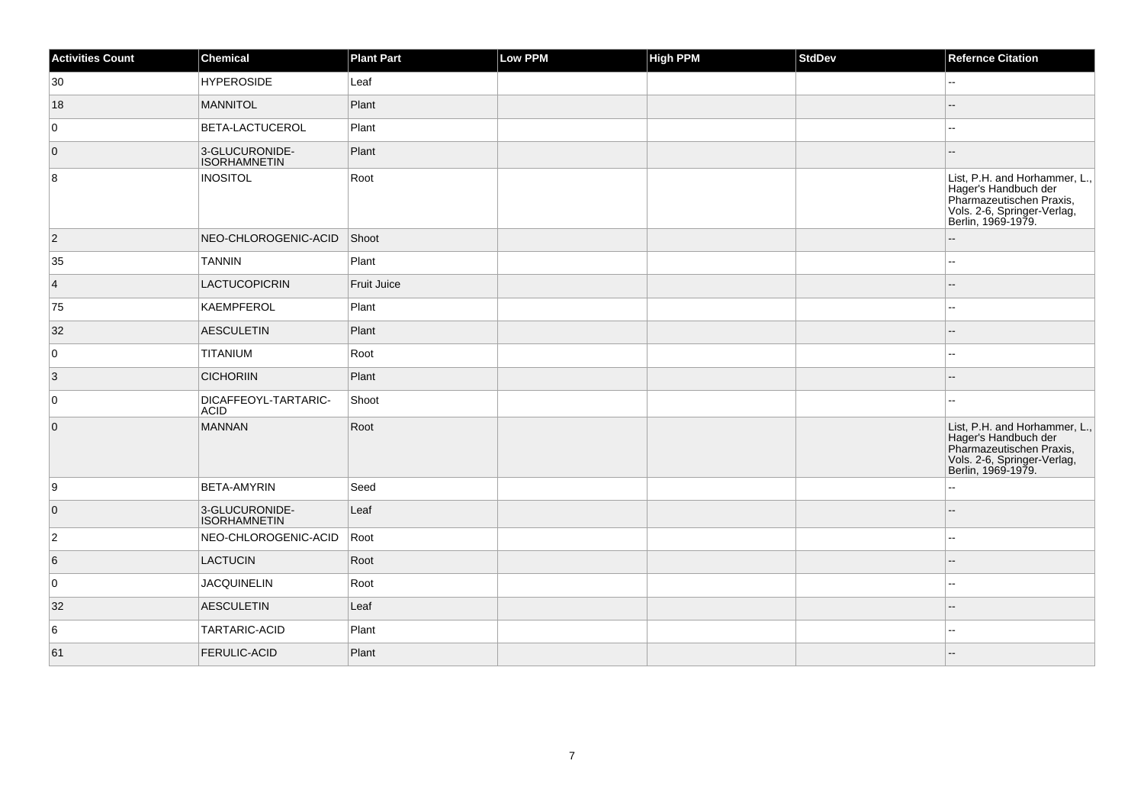| <b>Activities Count</b> | <b>Chemical</b>                       | <b>Plant Part</b>  | <b>Low PPM</b> | <b>High PPM</b> | <b>StdDev</b> | <b>Refernce Citation</b>                                                                                                                                             |
|-------------------------|---------------------------------------|--------------------|----------------|-----------------|---------------|----------------------------------------------------------------------------------------------------------------------------------------------------------------------|
| 30                      | <b>HYPEROSIDE</b>                     | Leaf               |                |                 |               | $\overline{a}$                                                                                                                                                       |
| 18                      | <b>MANNITOL</b>                       | Plant              |                |                 |               |                                                                                                                                                                      |
| 0                       | BETA-LACTUCEROL                       | Plant              |                |                 |               | ц,                                                                                                                                                                   |
| $\overline{0}$          | 3-GLUCURONIDE-<br><b>ISORHAMNETIN</b> | Plant              |                |                 |               | ٠.                                                                                                                                                                   |
| 8                       | <b>INOSITOL</b>                       | Root               |                |                 |               | List, P.H. and Horhammer, L.,<br>Hager's Handbuch der<br>Pharmazeutischen Praxis,<br>Vols. 2-6, Springer-Verlag,<br>Berlin, 1969-1979.                               |
| $ 2\rangle$             | NEO-CHLOROGENIC-ACID                  | Shoot              |                |                 |               |                                                                                                                                                                      |
| 35                      | <b>TANNIN</b>                         | Plant              |                |                 |               | --                                                                                                                                                                   |
| $\vert 4 \vert$         | LACTUCOPICRIN                         | <b>Fruit Juice</b> |                |                 |               |                                                                                                                                                                      |
| 75                      | <b>KAEMPFEROL</b>                     | Plant              |                |                 |               | ۵.                                                                                                                                                                   |
| 32                      | <b>AESCULETIN</b>                     | Plant              |                |                 |               |                                                                                                                                                                      |
| 0                       | TITANIUM                              | Root               |                |                 |               | $-1$                                                                                                                                                                 |
| 3                       | <b>CICHORIIN</b>                      | Plant              |                |                 |               |                                                                                                                                                                      |
| 0                       | DICAFFEOYL-TARTARIC-<br><b>ACID</b>   | Shoot              |                |                 |               | --                                                                                                                                                                   |
| $\overline{0}$          | <b>MANNAN</b>                         | Root               |                |                 |               | List, P.H. and Horhammer, L.,<br>East, 1.1.1. and Tomannel,<br>Rager's Handbuch der<br>Pharmazeutischen Praxis,<br>Vols. 2-6, Springer-Verlag,<br>Berlin, 1969-1979. |
| 9                       | <b>BETA-AMYRIN</b>                    | Seed               |                |                 |               |                                                                                                                                                                      |
| $\overline{0}$          | 3-GLUCURONIDE-<br><b>ISORHAMNETIN</b> | Leaf               |                |                 |               |                                                                                                                                                                      |
| $\overline{2}$          | NEO-CHLOROGENIC-ACID                  | Root               |                |                 |               | --                                                                                                                                                                   |
| 6                       | <b>LACTUCIN</b>                       | Root               |                |                 |               | $\overline{a}$                                                                                                                                                       |
| 0                       | <b>JACQUINELIN</b>                    | Root               |                |                 |               |                                                                                                                                                                      |
| 32                      | <b>AESCULETIN</b>                     | Leaf               |                |                 |               |                                                                                                                                                                      |
| 6                       | TARTARIC-ACID                         | Plant              |                |                 |               |                                                                                                                                                                      |
| 61                      | FERULIC-ACID                          | Plant              |                |                 |               |                                                                                                                                                                      |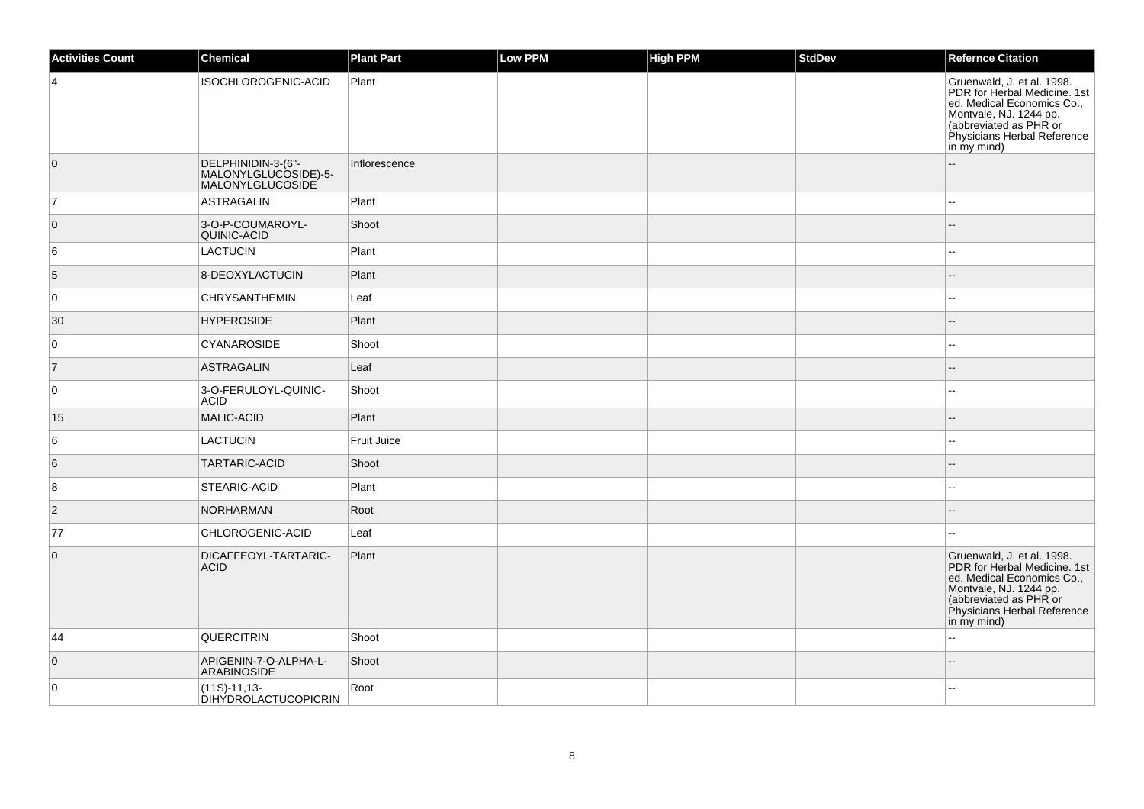| <b>Activities Count</b> | <b>Chemical</b>                                                | <b>Plant Part</b>  | <b>Low PPM</b> | High PPM | <b>StdDev</b> | <b>Refernce Citation</b>                                                                                                                                                                   |
|-------------------------|----------------------------------------------------------------|--------------------|----------------|----------|---------------|--------------------------------------------------------------------------------------------------------------------------------------------------------------------------------------------|
| $\overline{4}$          | ISOCHLOROGENIC-ACID                                            | Plant              |                |          |               | Gruenwald, J. et al. 1998.<br>PDR for Herbal Medicine. 1st<br>ed. Medical Economics Co.,<br>Montvale, NJ. 1244 pp.<br>(abbreviated as PHR or<br>Physicians Herbal Reference<br>in my mind) |
| $\overline{0}$          | DELPHINIDIN-3-(6"-<br>MALONYLGLUCOSIDE)-5-<br>MALONYLGLUCOSIDE | Inflorescence      |                |          |               |                                                                                                                                                                                            |
| $\overline{7}$          | ASTRAGALIN                                                     | Plant              |                |          |               | $\sim$                                                                                                                                                                                     |
| $\overline{0}$          | 3-O-P-COUMAROYL-<br>QUINIC-ACID                                | Shoot              |                |          |               | ٠.                                                                                                                                                                                         |
| 6                       | LACTUCIN                                                       | Plant              |                |          |               | $\overline{\phantom{a}}$                                                                                                                                                                   |
| 5                       | 8-DEOXYLACTUCIN                                                | Plant              |                |          |               | $\overline{a}$                                                                                                                                                                             |
| 0                       | <b>CHRYSANTHEMIN</b>                                           | Leaf               |                |          |               | $\sim$                                                                                                                                                                                     |
| 30                      | <b>HYPEROSIDE</b>                                              | Plant              |                |          |               | $\overline{a}$                                                                                                                                                                             |
| 0                       | <b>CYANAROSIDE</b>                                             | Shoot              |                |          |               | $\sim$                                                                                                                                                                                     |
| $\overline{7}$          | <b>ASTRAGALIN</b>                                              | Leaf               |                |          |               |                                                                                                                                                                                            |
| $\overline{0}$          | 3-O-FERULOYL-QUINIC-<br><b>ACID</b>                            | Shoot              |                |          |               |                                                                                                                                                                                            |
| 15                      | MALIC-ACID                                                     | Plant              |                |          |               |                                                                                                                                                                                            |
| 6                       | <b>LACTUCIN</b>                                                | <b>Fruit Juice</b> |                |          |               | $\sim$                                                                                                                                                                                     |
| 6                       | TARTARIC-ACID                                                  | Shoot              |                |          |               |                                                                                                                                                                                            |
| 8                       | STEARIC-ACID                                                   | Plant              |                |          |               | $\sim$                                                                                                                                                                                     |
| $\overline{2}$          | <b>NORHARMAN</b>                                               | Root               |                |          |               |                                                                                                                                                                                            |
| 77                      | CHLOROGENIC-ACID                                               | Leaf               |                |          |               | $\sim$                                                                                                                                                                                     |
| $\overline{0}$          | DICAFFEOYL-TARTARIC-<br><b>ACID</b>                            | Plant              |                |          |               | Gruenwald, J. et al. 1998.<br>PDR for Herbal Medicine. 1st<br>ed. Medical Economics Co.,<br>Montvale, NJ. 1244 pp.<br>(abbreviated as PHR or<br>Physicians Herbal Reference<br>in my mind) |
| 44                      | <b>QUERCITRIN</b>                                              | Shoot              |                |          |               | $\sim$                                                                                                                                                                                     |
| $\overline{0}$          | APIGENIN-7-O-ALPHA-L-<br>ARABINOSIDE                           | Shoot              |                |          |               | $\sim$                                                                                                                                                                                     |
| $\overline{0}$          | $(11S)-11,13-$<br><b>DIHYDROLACTUCOPICRIN</b>                  | Root               |                |          |               |                                                                                                                                                                                            |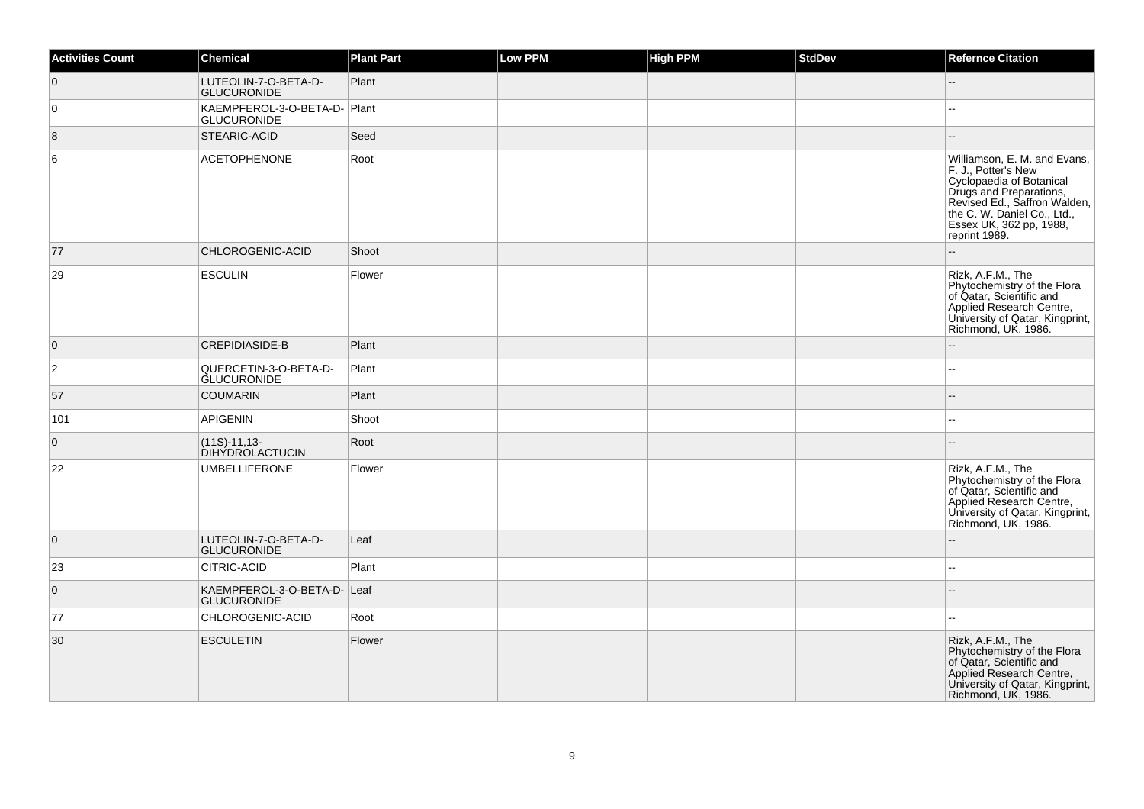| <b>Activities Count</b> | <b>Chemical</b>                                    | <b>Plant Part</b> | Low PPM | <b>High PPM</b> | <b>StdDev</b> | <b>Refernce Citation</b>                                                                                                                                                                                              |
|-------------------------|----------------------------------------------------|-------------------|---------|-----------------|---------------|-----------------------------------------------------------------------------------------------------------------------------------------------------------------------------------------------------------------------|
| $\overline{0}$          | LUTEOLIN-7-O-BETA-D-<br><b>GLUCURONIDE</b>         | Plant             |         |                 |               |                                                                                                                                                                                                                       |
| 0                       | KAEMPFEROL-3-O-BETA-D- Plant<br><b>GLUCURONIDE</b> |                   |         |                 |               |                                                                                                                                                                                                                       |
| 8                       | STEARIC-ACID                                       | Seed              |         |                 |               | --                                                                                                                                                                                                                    |
| 6                       | <b>ACETOPHENONE</b>                                | Root              |         |                 |               | Williamson, E. M. and Evans,<br>F. J., Potter's New<br>Cyclopaedia of Botanical<br>Drugs and Preparations,<br>Revised Ed., Saffron Walden,<br>the C. W. Daniel Co., Ltd.,<br>Essex UK, 362 pp, 1988,<br>reprint 1989. |
| 77                      | CHLOROGENIC-ACID                                   | Shoot             |         |                 |               |                                                                                                                                                                                                                       |
| 29                      | <b>ESCULIN</b>                                     | Flower            |         |                 |               | Rizk, A.F.M., The<br>Phytochemistry of the Flora<br>of Qatar, Scientific and<br>Applied Research Centre,<br>University of Qatar, Kingprint,<br>Richmond, UK, 1986.                                                    |
| $\overline{0}$          | <b>CREPIDIASIDE-B</b>                              | Plant             |         |                 |               | --                                                                                                                                                                                                                    |
| $\overline{2}$          | QUERCETIN-3-O-BETA-D-<br><b>GLUCURONIDE</b>        | Plant             |         |                 |               |                                                                                                                                                                                                                       |
| 57                      | <b>COUMARIN</b>                                    | Plant             |         |                 |               |                                                                                                                                                                                                                       |
| 101                     | <b>APIGENIN</b>                                    | Shoot             |         |                 |               | --                                                                                                                                                                                                                    |
| $\overline{0}$          | $(11S)-11,13-$<br>DIHYDROLACTUCIN                  | Root              |         |                 |               |                                                                                                                                                                                                                       |
| 22                      | <b>UMBELLIFERONE</b>                               | Flower            |         |                 |               | Rizk, A.F.M., The<br>Phytochemistry of the Flora<br>of Qatar, Scientific and<br>Applied Research Centre,<br>University of Qatar, Kingprint,<br>Richmond, UK, 1986.                                                    |
| $\overline{0}$          | LUTEOLIN-7-O-BETA-D-<br><b>GLUCURONIDE</b>         | Leaf              |         |                 |               |                                                                                                                                                                                                                       |
| 23                      | CITRIC-ACID                                        | Plant             |         |                 |               |                                                                                                                                                                                                                       |
| $\overline{0}$          | KAEMPFEROL-3-O-BETA-D- Leaf<br><b>GLUCURONIDE</b>  |                   |         |                 |               |                                                                                                                                                                                                                       |
| 77                      | CHLOROGENIC-ACID                                   | Root              |         |                 |               | --                                                                                                                                                                                                                    |
| 30                      | <b>ESCULETIN</b>                                   | Flower            |         |                 |               | Rizk, A.F.M., The<br>Phytochemistry of the Flora<br>of Qatar, Scientific and<br>Applied Research Centre,<br>University of Qatar, Kingprint,<br>Richmond, UK, 1986.                                                    |